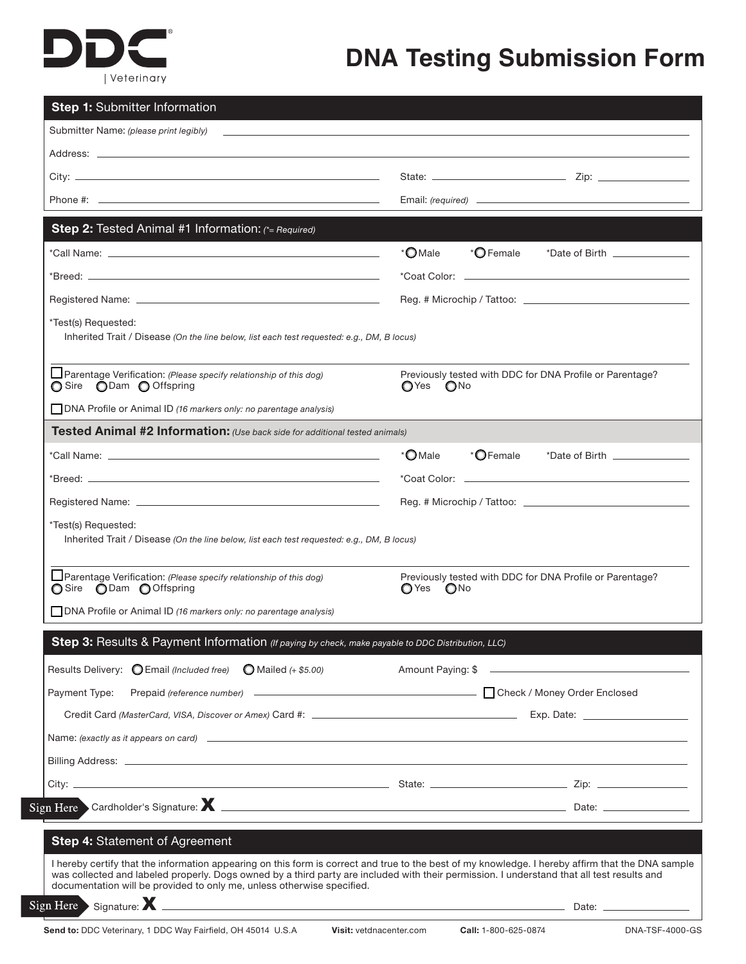## Di | Veterinary

## **DNA Testing Submission Form**

| <b>Step 1: Submitter Information</b>                                                                                                                                                                                                                                                                                                                                      |                                                                                    |  |  |  |
|---------------------------------------------------------------------------------------------------------------------------------------------------------------------------------------------------------------------------------------------------------------------------------------------------------------------------------------------------------------------------|------------------------------------------------------------------------------------|--|--|--|
| Submitter Name: (please print legibly)                                                                                                                                                                                                                                                                                                                                    |                                                                                    |  |  |  |
|                                                                                                                                                                                                                                                                                                                                                                           |                                                                                    |  |  |  |
|                                                                                                                                                                                                                                                                                                                                                                           |                                                                                    |  |  |  |
|                                                                                                                                                                                                                                                                                                                                                                           |                                                                                    |  |  |  |
| Step 2: Tested Animal #1 Information: (*= Required)                                                                                                                                                                                                                                                                                                                       |                                                                                    |  |  |  |
|                                                                                                                                                                                                                                                                                                                                                                           | * <b>O</b> Male<br>* <b>O</b> Female<br>*Date of Birth _______________             |  |  |  |
|                                                                                                                                                                                                                                                                                                                                                                           |                                                                                    |  |  |  |
|                                                                                                                                                                                                                                                                                                                                                                           |                                                                                    |  |  |  |
| *Test(s) Requested:<br>Inherited Trait / Disease (On the line below, list each test requested: e.g., DM, B locus)                                                                                                                                                                                                                                                         |                                                                                    |  |  |  |
| □ Parentage Verification: (Please specify relationship of this dog)<br>○ Sire ● Dam ● Offspring                                                                                                                                                                                                                                                                           | Previously tested with DDC for DNA Profile or Parentage?<br>$OYes$ $ONo$           |  |  |  |
| <b>DNA Profile or Animal ID (16 markers only: no parentage analysis)</b>                                                                                                                                                                                                                                                                                                  |                                                                                    |  |  |  |
| Tested Animal #2 Information: (Use back side for additional tested animals)                                                                                                                                                                                                                                                                                               |                                                                                    |  |  |  |
|                                                                                                                                                                                                                                                                                                                                                                           | * <b>O</b> Female<br>* <b>O</b> Male<br>$^{\star}$ Date of Birth $\_\_$            |  |  |  |
|                                                                                                                                                                                                                                                                                                                                                                           |                                                                                    |  |  |  |
|                                                                                                                                                                                                                                                                                                                                                                           |                                                                                    |  |  |  |
| *Test(s) Requested:<br>Inherited Trait / Disease (On the line below, list each test requested: e.g., DM, B locus)                                                                                                                                                                                                                                                         |                                                                                    |  |  |  |
| $\Box$ Parentage Verification: (Please specify relationship of this dog)<br>O Sire O Dam O Offspring                                                                                                                                                                                                                                                                      | Previously tested with DDC for DNA Profile or Parentage?<br>◯ Yes<br>$\bigcirc$ No |  |  |  |
| DNA Profile or Animal ID (16 markers only: no parentage analysis)                                                                                                                                                                                                                                                                                                         |                                                                                    |  |  |  |
| <b>Step 3:</b> Results & Payment Information (If paying by check, make payable to DDC Distribution, LLC)                                                                                                                                                                                                                                                                  |                                                                                    |  |  |  |
| Results Delivery: C Email (Included free)<br>$\bigcirc$ Mailed (+ \$5.00)                                                                                                                                                                                                                                                                                                 | Amount Paying: \$                                                                  |  |  |  |
| Payment Type:                                                                                                                                                                                                                                                                                                                                                             |                                                                                    |  |  |  |
|                                                                                                                                                                                                                                                                                                                                                                           |                                                                                    |  |  |  |
| Name: (exactly as it appears on card) $\qquad \qquad$                                                                                                                                                                                                                                                                                                                     |                                                                                    |  |  |  |
|                                                                                                                                                                                                                                                                                                                                                                           |                                                                                    |  |  |  |
|                                                                                                                                                                                                                                                                                                                                                                           |                                                                                    |  |  |  |
|                                                                                                                                                                                                                                                                                                                                                                           |                                                                                    |  |  |  |
|                                                                                                                                                                                                                                                                                                                                                                           |                                                                                    |  |  |  |
| Step 4: Statement of Agreement                                                                                                                                                                                                                                                                                                                                            |                                                                                    |  |  |  |
| I hereby certify that the information appearing on this form is correct and true to the best of my knowledge. I hereby affirm that the DNA sample<br>was collected and labeled properly. Dogs owned by a third party are included with their permission. I understand that all test results and<br>documentation will be provided to only me, unless otherwise specified. |                                                                                    |  |  |  |
| Signature: X<br>gn Here                                                                                                                                                                                                                                                                                                                                                   |                                                                                    |  |  |  |

Si

Si